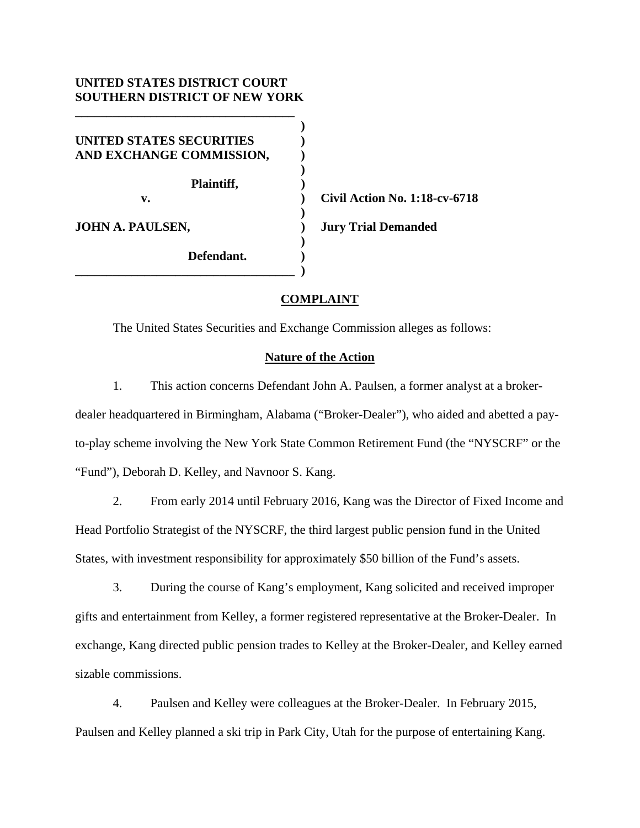# **UNITED STATES DISTRICT COURT SOUTHERN DISTRICT OF NEW YORK**

**\_\_\_\_\_\_\_\_\_\_\_\_\_\_\_\_\_\_\_\_\_\_\_\_\_\_\_\_\_\_\_\_\_\_\_** 

 **) UNITED STATES SECURITIES ) AND EXCHANGE COMMISSION, ) )** 

 **Plaintiff, )** 

 **)** 

 **)** 

**\_\_\_\_\_\_\_\_\_\_\_\_\_\_\_\_\_\_\_\_\_\_\_\_\_\_\_\_\_\_\_\_\_\_\_ )** 

 **Defendant. )** 

 **v. ) Civil Action No. 1:18-cv-6718 JOHN A. PAULSEN, ) Jury Trial Demanded** 

# **COMPLAINT**

The United States Securities and Exchange Commission alleges as follows:

## **Nature of the Action**

1. This action concerns Defendant John A. Paulsen, a former analyst at a brokerdealer headquartered in Birmingham, Alabama ("Broker-Dealer"), who aided and abetted a payto-play scheme involving the New York State Common Retirement Fund (the "NYSCRF" or the "Fund"), Deborah D. Kelley, and Navnoor S. Kang.

2. From early 2014 until February 2016, Kang was the Director of Fixed Income and Head Portfolio Strategist of the NYSCRF, the third largest public pension fund in the United States, with investment responsibility for approximately \$50 billion of the Fund's assets.

3. During the course of Kang's employment, Kang solicited and received improper gifts and entertainment from Kelley, a former registered representative at the Broker-Dealer. In exchange, Kang directed public pension trades to Kelley at the Broker-Dealer, and Kelley earned sizable commissions.

4. Paulsen and Kelley were colleagues at the Broker-Dealer. In February 2015, Paulsen and Kelley planned a ski trip in Park City, Utah for the purpose of entertaining Kang.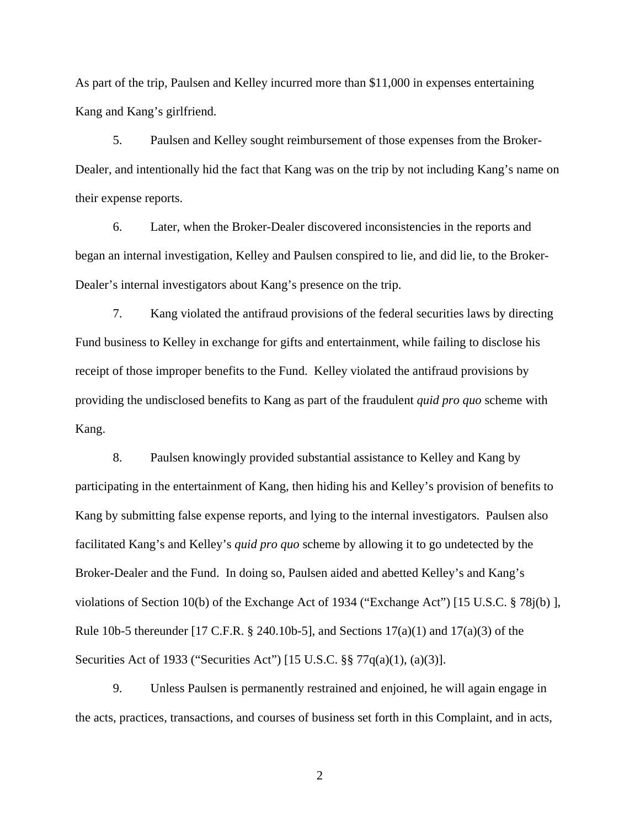As part of the trip, Paulsen and Kelley incurred more than \$11,000 in expenses entertaining Kang and Kang's girlfriend.

5. Paulsen and Kelley sought reimbursement of those expenses from the Broker-Dealer, and intentionally hid the fact that Kang was on the trip by not including Kang's name on their expense reports.

6. Later, when the Broker-Dealer discovered inconsistencies in the reports and began an internal investigation, Kelley and Paulsen conspired to lie, and did lie, to the Broker-Dealer's internal investigators about Kang's presence on the trip.

7. Kang violated the antifraud provisions of the federal securities laws by directing Fund business to Kelley in exchange for gifts and entertainment, while failing to disclose his receipt of those improper benefits to the Fund. Kelley violated the antifraud provisions by providing the undisclosed benefits to Kang as part of the fraudulent *quid pro quo* scheme with Kang.

8. Paulsen knowingly provided substantial assistance to Kelley and Kang by participating in the entertainment of Kang, then hiding his and Kelley's provision of benefits to Kang by submitting false expense reports, and lying to the internal investigators. Paulsen also facilitated Kang's and Kelley's *quid pro quo* scheme by allowing it to go undetected by the Broker-Dealer and the Fund. In doing so, Paulsen aided and abetted Kelley's and Kang's violations of Section 10(b) of the Exchange Act of 1934 ("Exchange Act") [15 U.S.C. § 78j(b) ], Rule 10b-5 thereunder [17 C.F.R. § 240.10b-5], and Sections  $17(a)(1)$  and  $17(a)(3)$  of the Securities Act of 1933 ("Securities Act") [15 U.S.C. §§ 77q(a)(1), (a)(3)].

9. Unless Paulsen is permanently restrained and enjoined, he will again engage in the acts, practices, transactions, and courses of business set forth in this Complaint, and in acts,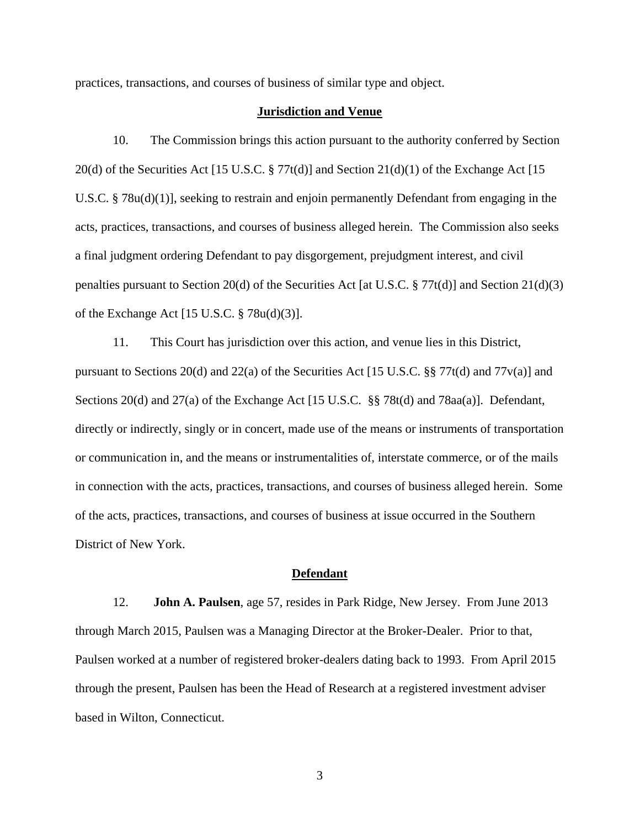practices, transactions, and courses of business of similar type and object.

### **Jurisdiction and Venue**

10. The Commission brings this action pursuant to the authority conferred by Section 20(d) of the Securities Act [15 U.S.C.  $\S 77t(d)$ ] and Section 21(d)(1) of the Exchange Act [15 U.S.C. § 78u(d)(1)], seeking to restrain and enjoin permanently Defendant from engaging in the acts, practices, transactions, and courses of business alleged herein. The Commission also seeks a final judgment ordering Defendant to pay disgorgement, prejudgment interest, and civil penalties pursuant to Section 20(d) of the Securities Act [at U.S.C. § 77t(d)] and Section 21(d)(3) of the Exchange Act [15 U.S.C. § 78u(d)(3)].

11. This Court has jurisdiction over this action, and venue lies in this District, pursuant to Sections 20(d) and 22(a) of the Securities Act [15 U.S.C. §§ 77t(d) and 77v(a)] and Sections 20(d) and 27(a) of the Exchange Act [15 U.S.C. §§ 78t(d) and 78aa(a)]. Defendant, directly or indirectly, singly or in concert, made use of the means or instruments of transportation or communication in, and the means or instrumentalities of, interstate commerce, or of the mails in connection with the acts, practices, transactions, and courses of business alleged herein. Some of the acts, practices, transactions, and courses of business at issue occurred in the Southern District of New York.

#### **Defendant**

12. **John A. Paulsen**, age 57, resides in Park Ridge, New Jersey. From June 2013 through March 2015, Paulsen was a Managing Director at the Broker-Dealer. Prior to that, Paulsen worked at a number of registered broker-dealers dating back to 1993. From April 2015 through the present, Paulsen has been the Head of Research at a registered investment adviser based in Wilton, Connecticut.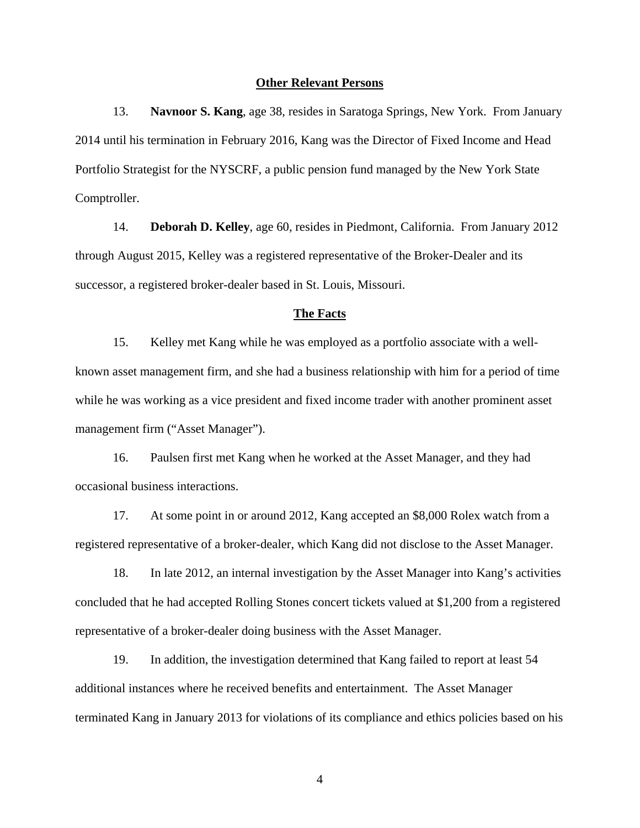#### **Other Relevant Persons**

13. **Navnoor S. Kang**, age 38, resides in Saratoga Springs, New York. From January 2014 until his termination in February 2016, Kang was the Director of Fixed Income and Head Portfolio Strategist for the NYSCRF, a public pension fund managed by the New York State Comptroller.

14. **Deborah D. Kelley**, age 60, resides in Piedmont, California. From January 2012 through August 2015, Kelley was a registered representative of the Broker-Dealer and its successor, a registered broker-dealer based in St. Louis, Missouri.

#### **The Facts**

15. Kelley met Kang while he was employed as a portfolio associate with a wellknown asset management firm, and she had a business relationship with him for a period of time while he was working as a vice president and fixed income trader with another prominent asset management firm ("Asset Manager").

16. Paulsen first met Kang when he worked at the Asset Manager, and they had occasional business interactions.

17. At some point in or around 2012, Kang accepted an \$8,000 Rolex watch from a registered representative of a broker-dealer, which Kang did not disclose to the Asset Manager.

18. In late 2012, an internal investigation by the Asset Manager into Kang's activities concluded that he had accepted Rolling Stones concert tickets valued at \$1,200 from a registered representative of a broker-dealer doing business with the Asset Manager.

19. In addition, the investigation determined that Kang failed to report at least 54 additional instances where he received benefits and entertainment. The Asset Manager terminated Kang in January 2013 for violations of its compliance and ethics policies based on his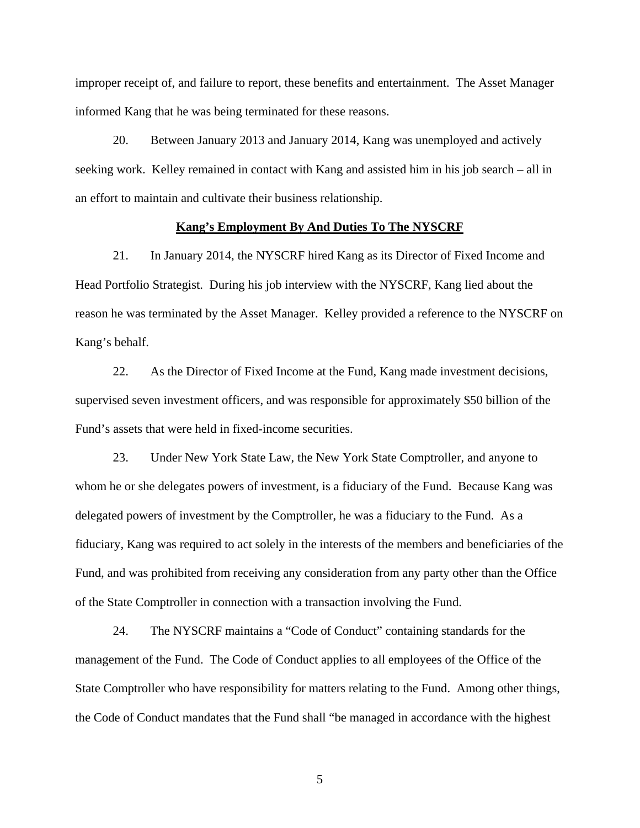improper receipt of, and failure to report, these benefits and entertainment. The Asset Manager informed Kang that he was being terminated for these reasons.

20. Between January 2013 and January 2014, Kang was unemployed and actively seeking work. Kelley remained in contact with Kang and assisted him in his job search – all in an effort to maintain and cultivate their business relationship.

### **Kang's Employment By And Duties To The NYSCRF**

21. In January 2014, the NYSCRF hired Kang as its Director of Fixed Income and Head Portfolio Strategist. During his job interview with the NYSCRF, Kang lied about the reason he was terminated by the Asset Manager. Kelley provided a reference to the NYSCRF on Kang's behalf.

22. As the Director of Fixed Income at the Fund, Kang made investment decisions, supervised seven investment officers, and was responsible for approximately \$50 billion of the Fund's assets that were held in fixed-income securities.

23. Under New York State Law, the New York State Comptroller, and anyone to whom he or she delegates powers of investment, is a fiduciary of the Fund. Because Kang was delegated powers of investment by the Comptroller, he was a fiduciary to the Fund. As a fiduciary, Kang was required to act solely in the interests of the members and beneficiaries of the Fund, and was prohibited from receiving any consideration from any party other than the Office of the State Comptroller in connection with a transaction involving the Fund.

24. The NYSCRF maintains a "Code of Conduct" containing standards for the management of the Fund. The Code of Conduct applies to all employees of the Office of the State Comptroller who have responsibility for matters relating to the Fund. Among other things, the Code of Conduct mandates that the Fund shall "be managed in accordance with the highest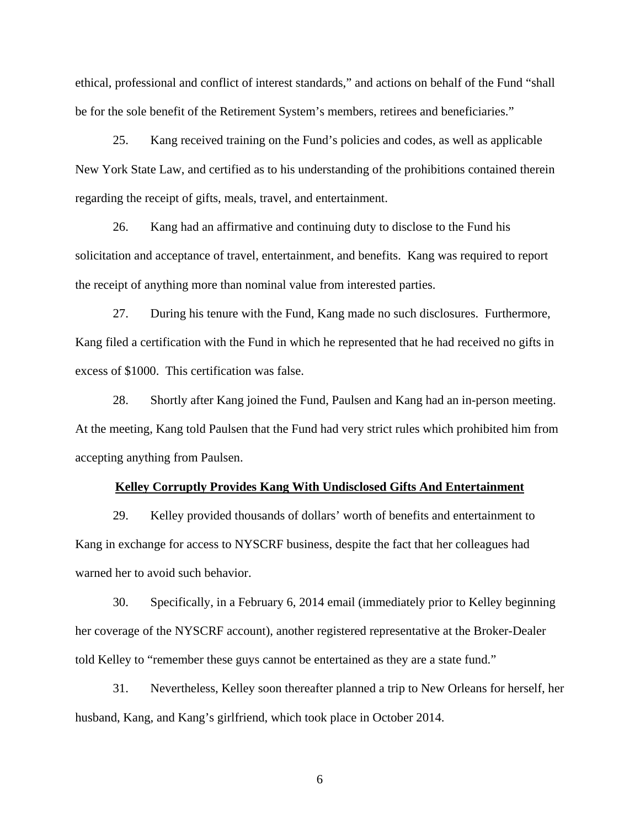ethical, professional and conflict of interest standards," and actions on behalf of the Fund "shall be for the sole benefit of the Retirement System's members, retirees and beneficiaries."

25. Kang received training on the Fund's policies and codes, as well as applicable New York State Law, and certified as to his understanding of the prohibitions contained therein regarding the receipt of gifts, meals, travel, and entertainment.

26. Kang had an affirmative and continuing duty to disclose to the Fund his solicitation and acceptance of travel, entertainment, and benefits. Kang was required to report the receipt of anything more than nominal value from interested parties.

27. During his tenure with the Fund, Kang made no such disclosures. Furthermore, Kang filed a certification with the Fund in which he represented that he had received no gifts in excess of \$1000. This certification was false.

28. Shortly after Kang joined the Fund, Paulsen and Kang had an in-person meeting. At the meeting, Kang told Paulsen that the Fund had very strict rules which prohibited him from accepting anything from Paulsen.

#### **Kelley Corruptly Provides Kang With Undisclosed Gifts And Entertainment**

29. Kelley provided thousands of dollars' worth of benefits and entertainment to Kang in exchange for access to NYSCRF business, despite the fact that her colleagues had warned her to avoid such behavior.

30. Specifically, in a February 6, 2014 email (immediately prior to Kelley beginning her coverage of the NYSCRF account), another registered representative at the Broker-Dealer told Kelley to "remember these guys cannot be entertained as they are a state fund."

31. Nevertheless, Kelley soon thereafter planned a trip to New Orleans for herself, her husband, Kang, and Kang's girlfriend, which took place in October 2014.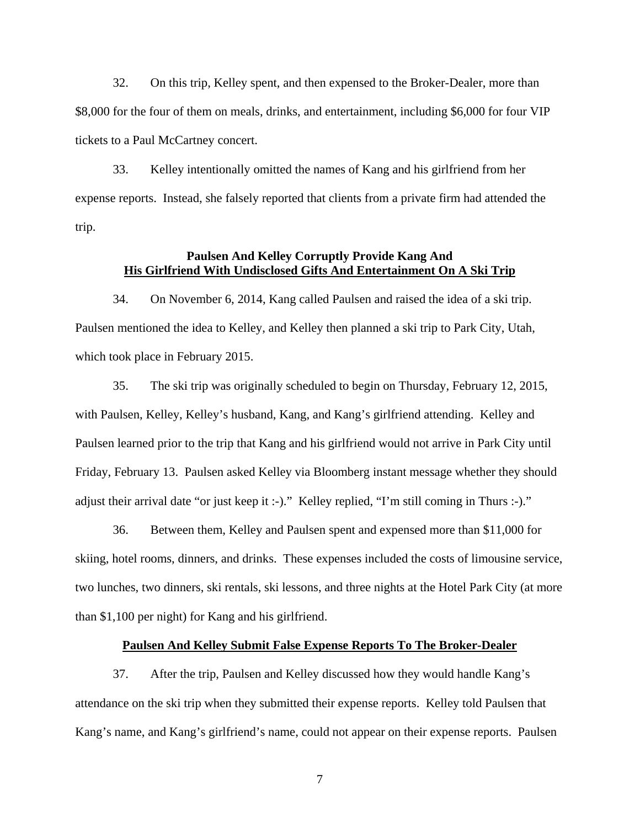32. On this trip, Kelley spent, and then expensed to the Broker-Dealer, more than \$8,000 for the four of them on meals, drinks, and entertainment, including \$6,000 for four VIP tickets to a Paul McCartney concert.

33. Kelley intentionally omitted the names of Kang and his girlfriend from her expense reports. Instead, she falsely reported that clients from a private firm had attended the trip.

# **Paulsen And Kelley Corruptly Provide Kang And His Girlfriend With Undisclosed Gifts And Entertainment On A Ski Trip**

34. On November 6, 2014, Kang called Paulsen and raised the idea of a ski trip. Paulsen mentioned the idea to Kelley, and Kelley then planned a ski trip to Park City, Utah, which took place in February 2015.

35. The ski trip was originally scheduled to begin on Thursday, February 12, 2015, with Paulsen, Kelley, Kelley's husband, Kang, and Kang's girlfriend attending. Kelley and Paulsen learned prior to the trip that Kang and his girlfriend would not arrive in Park City until Friday, February 13. Paulsen asked Kelley via Bloomberg instant message whether they should adjust their arrival date "or just keep it :-)." Kelley replied, "I'm still coming in Thurs :-)."

36. Between them, Kelley and Paulsen spent and expensed more than \$11,000 for skiing, hotel rooms, dinners, and drinks. These expenses included the costs of limousine service, two lunches, two dinners, ski rentals, ski lessons, and three nights at the Hotel Park City (at more than \$1,100 per night) for Kang and his girlfriend.

## **Paulsen And Kelley Submit False Expense Reports To The Broker-Dealer**

37. After the trip, Paulsen and Kelley discussed how they would handle Kang's attendance on the ski trip when they submitted their expense reports. Kelley told Paulsen that Kang's name, and Kang's girlfriend's name, could not appear on their expense reports. Paulsen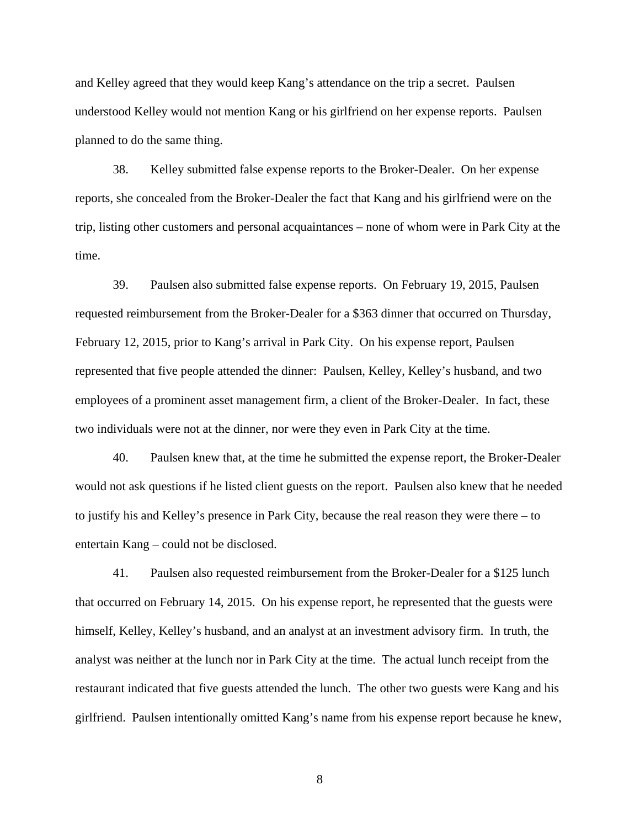and Kelley agreed that they would keep Kang's attendance on the trip a secret. Paulsen understood Kelley would not mention Kang or his girlfriend on her expense reports. Paulsen planned to do the same thing.

38. Kelley submitted false expense reports to the Broker-Dealer. On her expense reports, she concealed from the Broker-Dealer the fact that Kang and his girlfriend were on the trip, listing other customers and personal acquaintances – none of whom were in Park City at the time.

39. Paulsen also submitted false expense reports. On February 19, 2015, Paulsen requested reimbursement from the Broker-Dealer for a \$363 dinner that occurred on Thursday, February 12, 2015, prior to Kang's arrival in Park City. On his expense report, Paulsen represented that five people attended the dinner: Paulsen, Kelley, Kelley's husband, and two employees of a prominent asset management firm, a client of the Broker-Dealer. In fact, these two individuals were not at the dinner, nor were they even in Park City at the time.

40. Paulsen knew that, at the time he submitted the expense report, the Broker-Dealer would not ask questions if he listed client guests on the report. Paulsen also knew that he needed to justify his and Kelley's presence in Park City, because the real reason they were there – to entertain Kang – could not be disclosed.

41. Paulsen also requested reimbursement from the Broker-Dealer for a \$125 lunch that occurred on February 14, 2015. On his expense report, he represented that the guests were himself, Kelley, Kelley's husband, and an analyst at an investment advisory firm. In truth, the analyst was neither at the lunch nor in Park City at the time. The actual lunch receipt from the restaurant indicated that five guests attended the lunch. The other two guests were Kang and his girlfriend. Paulsen intentionally omitted Kang's name from his expense report because he knew,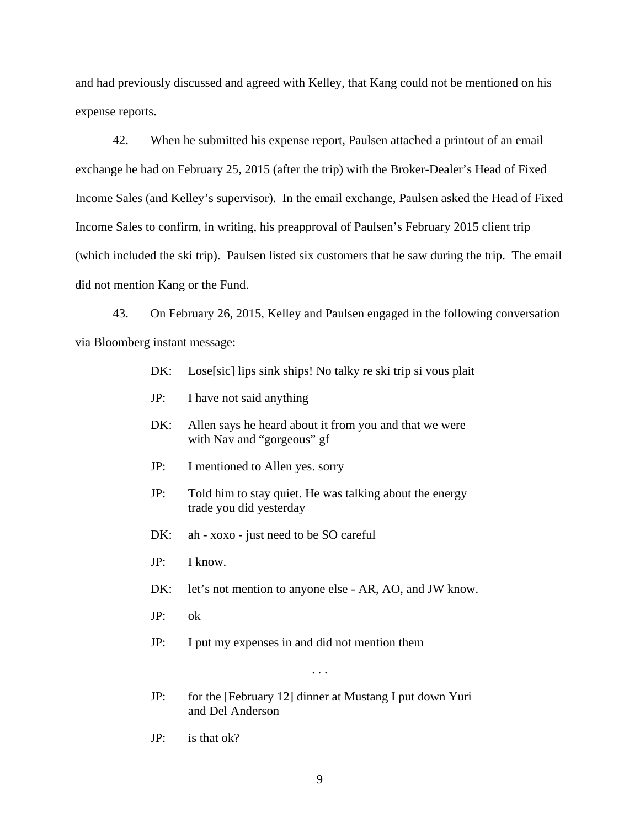and had previously discussed and agreed with Kelley, that Kang could not be mentioned on his expense reports.

42. When he submitted his expense report, Paulsen attached a printout of an email exchange he had on February 25, 2015 (after the trip) with the Broker-Dealer's Head of Fixed Income Sales (and Kelley's supervisor). In the email exchange, Paulsen asked the Head of Fixed Income Sales to confirm, in writing, his preapproval of Paulsen's February 2015 client trip (which included the ski trip). Paulsen listed six customers that he saw during the trip. The email did not mention Kang or the Fund.

43. On February 26, 2015, Kelley and Paulsen engaged in the following conversation via Bloomberg instant message:

- DK: Lose[sic] lips sink ships! No talky re ski trip si vous plait
- JP: I have not said anything
- DK: Allen says he heard about it from you and that we were with Nav and "gorgeous" gf
- JP: I mentioned to Allen yes. sorry
- JP: Told him to stay quiet. He was talking about the energy trade you did yesterday
- DK: ah xoxo just need to be SO careful
- JP: I know.
- DK: let's not mention to anyone else AR, AO, and JW know.
- JP: ok
- JP: I put my expenses in and did not mention them

. . .

- JP: for the [February 12] dinner at Mustang I put down Yuri and Del Anderson
- JP: is that ok?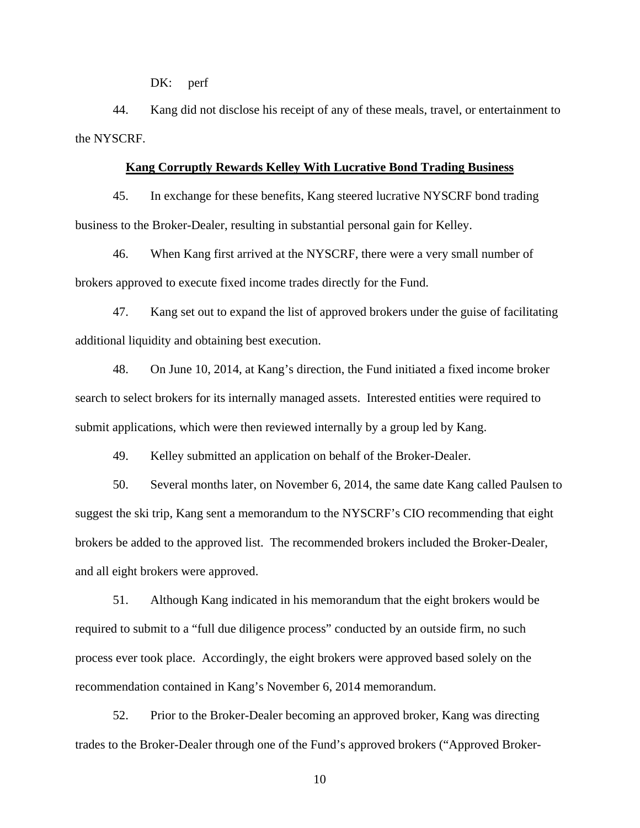DK: perf

44. Kang did not disclose his receipt of any of these meals, travel, or entertainment to the NYSCRF.

#### **Kang Corruptly Rewards Kelley With Lucrative Bond Trading Business**

45. In exchange for these benefits, Kang steered lucrative NYSCRF bond trading business to the Broker-Dealer, resulting in substantial personal gain for Kelley.

46. When Kang first arrived at the NYSCRF, there were a very small number of brokers approved to execute fixed income trades directly for the Fund.

47. Kang set out to expand the list of approved brokers under the guise of facilitating additional liquidity and obtaining best execution.

48. On June 10, 2014, at Kang's direction, the Fund initiated a fixed income broker search to select brokers for its internally managed assets. Interested entities were required to submit applications, which were then reviewed internally by a group led by Kang.

49. Kelley submitted an application on behalf of the Broker-Dealer.

50. Several months later, on November 6, 2014, the same date Kang called Paulsen to suggest the ski trip, Kang sent a memorandum to the NYSCRF's CIO recommending that eight brokers be added to the approved list. The recommended brokers included the Broker-Dealer, and all eight brokers were approved.

51. Although Kang indicated in his memorandum that the eight brokers would be required to submit to a "full due diligence process" conducted by an outside firm, no such process ever took place. Accordingly, the eight brokers were approved based solely on the recommendation contained in Kang's November 6, 2014 memorandum.

52. Prior to the Broker-Dealer becoming an approved broker, Kang was directing trades to the Broker-Dealer through one of the Fund's approved brokers ("Approved Broker-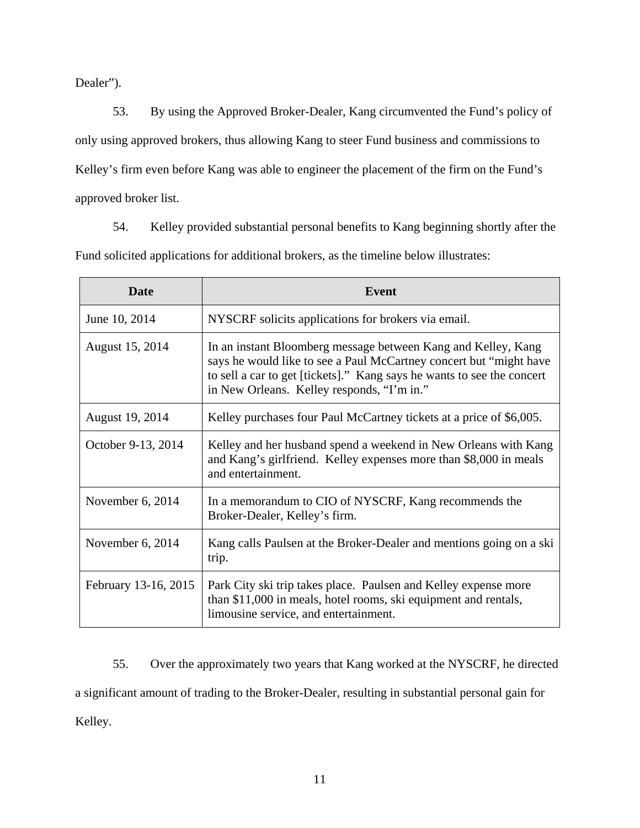Dealer").

53. By using the Approved Broker-Dealer, Kang circumvented the Fund's policy of only using approved brokers, thus allowing Kang to steer Fund business and commissions to Kelley's firm even before Kang was able to engineer the placement of the firm on the Fund's approved broker list.

54. Kelley provided substantial personal benefits to Kang beginning shortly after the Fund solicited applications for additional brokers, as the timeline below illustrates:

| <b>Date</b>          | Event                                                                                                                                                                                                                                                       |
|----------------------|-------------------------------------------------------------------------------------------------------------------------------------------------------------------------------------------------------------------------------------------------------------|
| June 10, 2014        | NYSCRF solicits applications for brokers via email.                                                                                                                                                                                                         |
| August 15, 2014      | In an instant Bloomberg message between Kang and Kelley, Kang<br>says he would like to see a Paul McCartney concert but "might have<br>to sell a car to get [tickets]." Kang says he wants to see the concert<br>in New Orleans. Kelley responds, "I'm in." |
| August 19, 2014      | Kelley purchases four Paul McCartney tickets at a price of \$6,005.                                                                                                                                                                                         |
| October 9-13, 2014   | Kelley and her husband spend a weekend in New Orleans with Kang<br>and Kang's girlfriend. Kelley expenses more than \$8,000 in meals<br>and entertainment.                                                                                                  |
| November $6, 2014$   | In a memorandum to CIO of NYSCRF, Kang recommends the<br>Broker-Dealer, Kelley's firm.                                                                                                                                                                      |
| November $6, 2014$   | Kang calls Paulsen at the Broker-Dealer and mentions going on a ski<br>trip.                                                                                                                                                                                |
| February 13-16, 2015 | Park City ski trip takes place. Paulsen and Kelley expense more<br>than \$11,000 in meals, hotel rooms, ski equipment and rentals,<br>limousine service, and entertainment.                                                                                 |

55. Over the approximately two years that Kang worked at the NYSCRF, he directed a significant amount of trading to the Broker-Dealer, resulting in substantial personal gain for Kelley.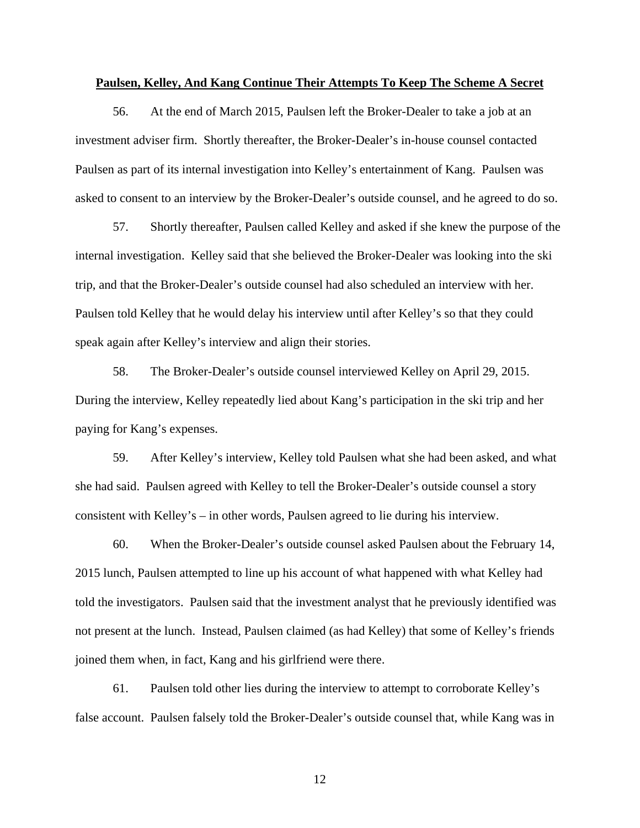#### **Paulsen, Kelley, And Kang Continue Their Attempts To Keep The Scheme A Secret**

56. At the end of March 2015, Paulsen left the Broker-Dealer to take a job at an investment adviser firm. Shortly thereafter, the Broker-Dealer's in-house counsel contacted Paulsen as part of its internal investigation into Kelley's entertainment of Kang. Paulsen was asked to consent to an interview by the Broker-Dealer's outside counsel, and he agreed to do so.

57. Shortly thereafter, Paulsen called Kelley and asked if she knew the purpose of the internal investigation. Kelley said that she believed the Broker-Dealer was looking into the ski trip, and that the Broker-Dealer's outside counsel had also scheduled an interview with her. Paulsen told Kelley that he would delay his interview until after Kelley's so that they could speak again after Kelley's interview and align their stories.

58. The Broker-Dealer's outside counsel interviewed Kelley on April 29, 2015. During the interview, Kelley repeatedly lied about Kang's participation in the ski trip and her paying for Kang's expenses.

59. After Kelley's interview, Kelley told Paulsen what she had been asked, and what she had said. Paulsen agreed with Kelley to tell the Broker-Dealer's outside counsel a story consistent with Kelley's – in other words, Paulsen agreed to lie during his interview.

60. When the Broker-Dealer's outside counsel asked Paulsen about the February 14, 2015 lunch, Paulsen attempted to line up his account of what happened with what Kelley had told the investigators. Paulsen said that the investment analyst that he previously identified was not present at the lunch. Instead, Paulsen claimed (as had Kelley) that some of Kelley's friends joined them when, in fact, Kang and his girlfriend were there.

61. Paulsen told other lies during the interview to attempt to corroborate Kelley's false account. Paulsen falsely told the Broker-Dealer's outside counsel that, while Kang was in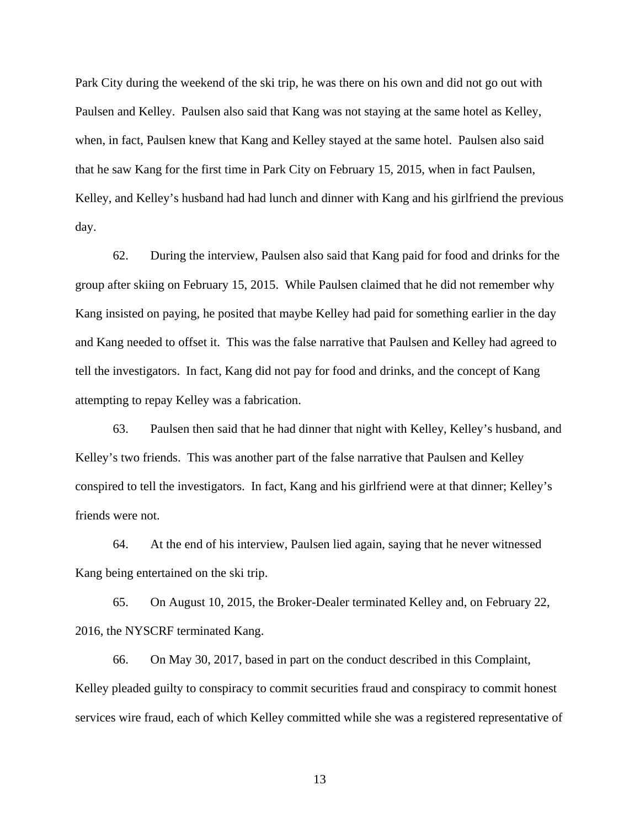Park City during the weekend of the ski trip, he was there on his own and did not go out with Paulsen and Kelley. Paulsen also said that Kang was not staying at the same hotel as Kelley, when, in fact, Paulsen knew that Kang and Kelley stayed at the same hotel. Paulsen also said that he saw Kang for the first time in Park City on February 15, 2015, when in fact Paulsen, Kelley, and Kelley's husband had had lunch and dinner with Kang and his girlfriend the previous day.

62. During the interview, Paulsen also said that Kang paid for food and drinks for the group after skiing on February 15, 2015. While Paulsen claimed that he did not remember why Kang insisted on paying, he posited that maybe Kelley had paid for something earlier in the day and Kang needed to offset it. This was the false narrative that Paulsen and Kelley had agreed to tell the investigators. In fact, Kang did not pay for food and drinks, and the concept of Kang attempting to repay Kelley was a fabrication.

63. Paulsen then said that he had dinner that night with Kelley, Kelley's husband, and Kelley's two friends. This was another part of the false narrative that Paulsen and Kelley conspired to tell the investigators. In fact, Kang and his girlfriend were at that dinner; Kelley's friends were not.

64. At the end of his interview, Paulsen lied again, saying that he never witnessed Kang being entertained on the ski trip.

65. On August 10, 2015, the Broker-Dealer terminated Kelley and, on February 22, 2016, the NYSCRF terminated Kang.

66. On May 30, 2017, based in part on the conduct described in this Complaint, Kelley pleaded guilty to conspiracy to commit securities fraud and conspiracy to commit honest services wire fraud, each of which Kelley committed while she was a registered representative of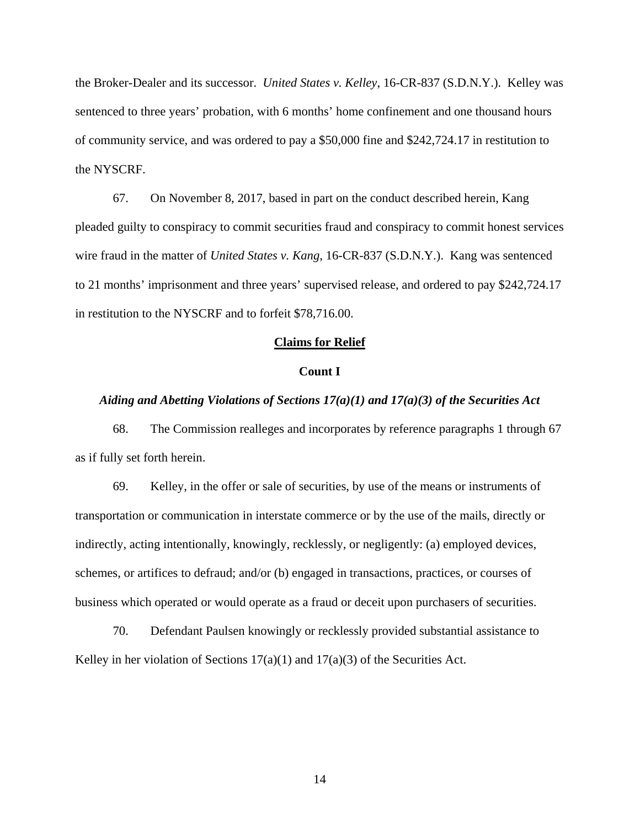the Broker-Dealer and its successor. *United States v. Kelley*, 16-CR-837 (S.D.N.Y.). Kelley was sentenced to three years' probation, with 6 months' home confinement and one thousand hours of community service, and was ordered to pay a \$50,000 fine and \$242,724.17 in restitution to the NYSCRF.

67. On November 8, 2017, based in part on the conduct described herein, Kang pleaded guilty to conspiracy to commit securities fraud and conspiracy to commit honest services wire fraud in the matter of *United States v. Kang*, 16-CR-837 (S.D.N.Y.). Kang was sentenced to 21 months' imprisonment and three years' supervised release, and ordered to pay \$242,724.17 in restitution to the NYSCRF and to forfeit \$78,716.00.

#### **Claims for Relief**

#### **Count I**

### *Aiding and Abetting Violations of Sections 17(a)(1) and 17(a)(3) of the Securities Act*

68. The Commission realleges and incorporates by reference paragraphs 1 through 67 as if fully set forth herein.

69. Kelley, in the offer or sale of securities, by use of the means or instruments of transportation or communication in interstate commerce or by the use of the mails, directly or indirectly, acting intentionally, knowingly, recklessly, or negligently: (a) employed devices, schemes, or artifices to defraud; and/or (b) engaged in transactions, practices, or courses of business which operated or would operate as a fraud or deceit upon purchasers of securities.

70. Defendant Paulsen knowingly or recklessly provided substantial assistance to Kelley in her violation of Sections  $17(a)(1)$  and  $17(a)(3)$  of the Securities Act.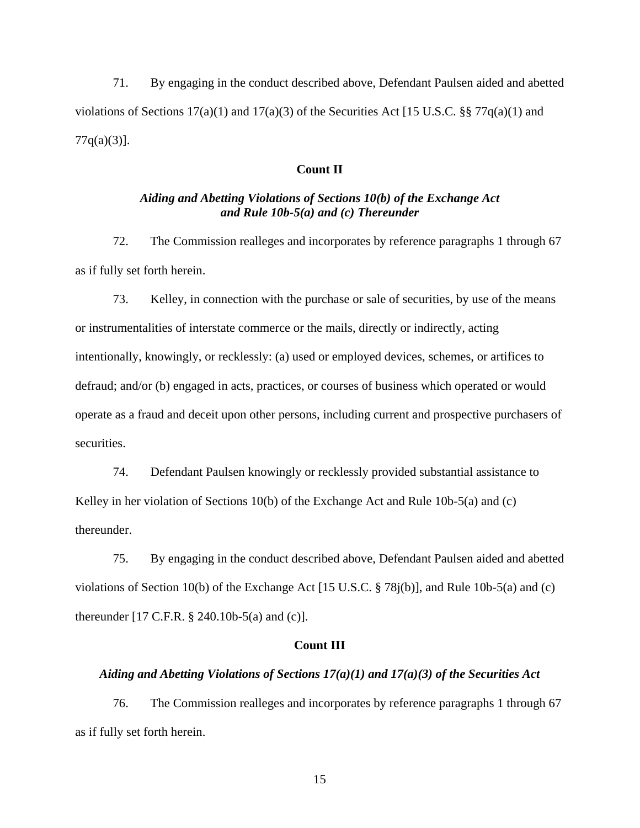71. By engaging in the conduct described above, Defendant Paulsen aided and abetted violations of Sections  $17(a)(1)$  and  $17(a)(3)$  of the Securities Act [15 U.S.C. §§ 77q(a)(1) and  $77q(a)(3)$ ].

### **Count II**

# *Aiding and Abetting Violations of Sections 10(b) of the Exchange Act and Rule 10b-5(a) and (c) Thereunder*

72. The Commission realleges and incorporates by reference paragraphs 1 through 67 as if fully set forth herein.

73. Kelley, in connection with the purchase or sale of securities, by use of the means or instrumentalities of interstate commerce or the mails, directly or indirectly, acting intentionally, knowingly, or recklessly: (a) used or employed devices, schemes, or artifices to defraud; and/or (b) engaged in acts, practices, or courses of business which operated or would operate as a fraud and deceit upon other persons, including current and prospective purchasers of securities.

74. Defendant Paulsen knowingly or recklessly provided substantial assistance to Kelley in her violation of Sections 10(b) of the Exchange Act and Rule 10b-5(a) and (c) thereunder.

75. By engaging in the conduct described above, Defendant Paulsen aided and abetted violations of Section 10(b) of the Exchange Act [15 U.S.C. § 78j(b)], and Rule 10b-5(a) and (c) thereunder [17 C.F.R. § 240.10b-5(a) and (c)].

# **Count III**

## *Aiding and Abetting Violations of Sections 17(a)(1) and 17(a)(3) of the Securities Act*

76. The Commission realleges and incorporates by reference paragraphs 1 through 67 as if fully set forth herein.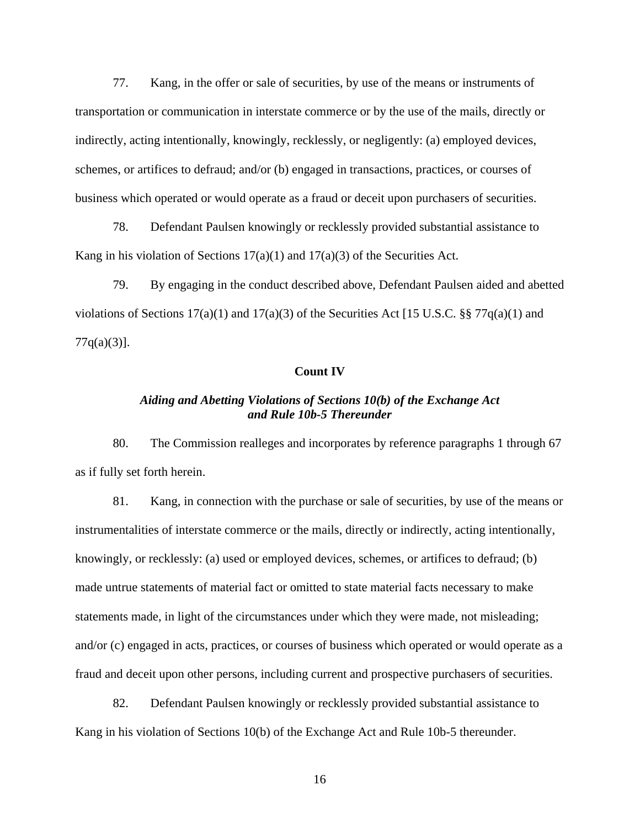77. Kang, in the offer or sale of securities, by use of the means or instruments of transportation or communication in interstate commerce or by the use of the mails, directly or indirectly, acting intentionally, knowingly, recklessly, or negligently: (a) employed devices, schemes, or artifices to defraud; and/or (b) engaged in transactions, practices, or courses of business which operated or would operate as a fraud or deceit upon purchasers of securities.

78. Defendant Paulsen knowingly or recklessly provided substantial assistance to Kang in his violation of Sections  $17(a)(1)$  and  $17(a)(3)$  of the Securities Act.

79. By engaging in the conduct described above, Defendant Paulsen aided and abetted violations of Sections  $17(a)(1)$  and  $17(a)(3)$  of the Securities Act [15 U.S.C. §§ 77q(a)(1) and  $77q(a)(3)$ ].

#### **Count IV**

# *Aiding and Abetting Violations of Sections 10(b) of the Exchange Act and Rule 10b-5 Thereunder*

80. The Commission realleges and incorporates by reference paragraphs 1 through 67 as if fully set forth herein.

81. Kang, in connection with the purchase or sale of securities, by use of the means or instrumentalities of interstate commerce or the mails, directly or indirectly, acting intentionally, knowingly, or recklessly: (a) used or employed devices, schemes, or artifices to defraud; (b) made untrue statements of material fact or omitted to state material facts necessary to make statements made, in light of the circumstances under which they were made, not misleading; and/or (c) engaged in acts, practices, or courses of business which operated or would operate as a fraud and deceit upon other persons, including current and prospective purchasers of securities.

82. Defendant Paulsen knowingly or recklessly provided substantial assistance to Kang in his violation of Sections 10(b) of the Exchange Act and Rule 10b-5 thereunder.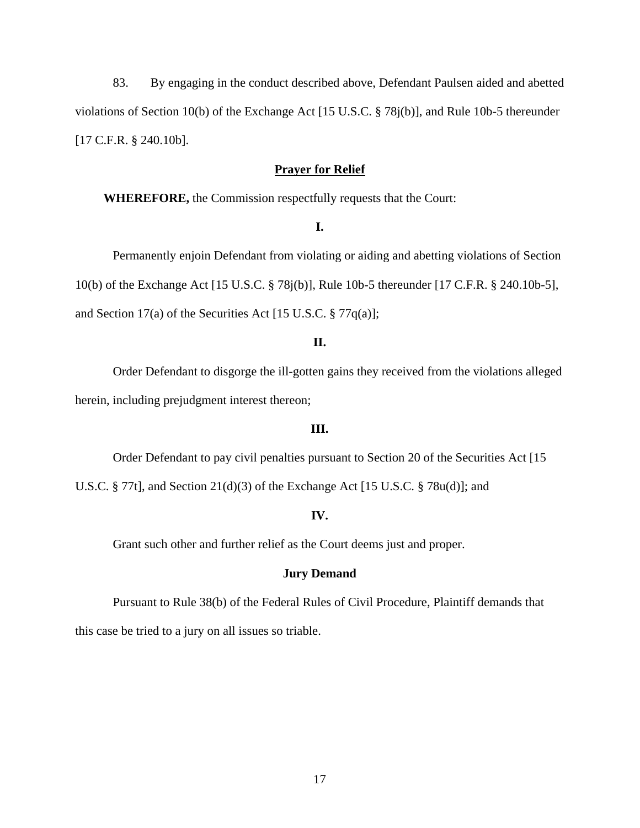83. By engaging in the conduct described above, Defendant Paulsen aided and abetted violations of Section 10(b) of the Exchange Act [15 U.S.C. § 78j(b)], and Rule 10b-5 thereunder [17 C.F.R. § 240.10b].

## **Prayer for Relief**

**WHEREFORE,** the Commission respectfully requests that the Court:

**I.**

Permanently enjoin Defendant from violating or aiding and abetting violations of Section 10(b) of the Exchange Act [15 U.S.C. § 78j(b)], Rule 10b-5 thereunder [17 C.F.R. § 240.10b-5], and Section 17(a) of the Securities Act [15 U.S.C. § 77q(a)];

# **II.**

Order Defendant to disgorge the ill-gotten gains they received from the violations alleged herein, including prejudgment interest thereon;

#### **III.**

Order Defendant to pay civil penalties pursuant to Section 20 of the Securities Act [15

U.S.C. § 77t], and Section 21(d)(3) of the Exchange Act [15 U.S.C. § 78u(d)]; and

#### **IV.**

Grant such other and further relief as the Court deems just and proper.

### **Jury Demand**

Pursuant to Rule 38(b) of the Federal Rules of Civil Procedure, Plaintiff demands that this case be tried to a jury on all issues so triable.